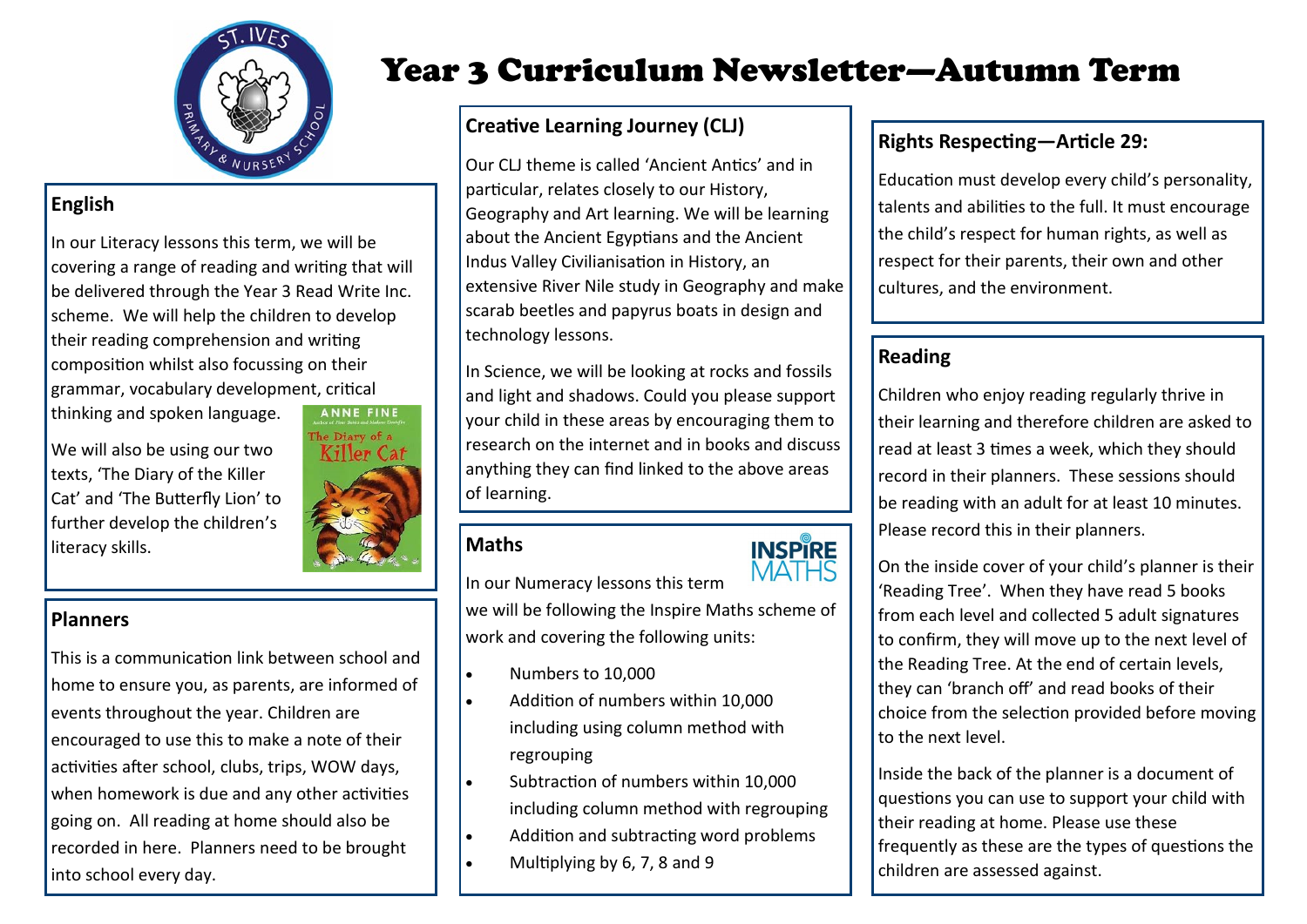

# **English**

In our Literacy lessons this term, we will be covering a range of reading and writing that will be delivered through the Year 3 Read Write Inc. scheme. We will help the children to develop their reading comprehension and writing composition whilst also focussing on their grammar, vocabulary development, critical

thinking and spoken language.

We will also be using our two texts, 'The Diary of the Killer Cat' and 'The Butterfly Lion' to further develop the children's literacy skills. **Maths Maths** 



#### **Planners**

This is a communication link between school and home to ensure you, as parents, are informed of events throughout the year. Children are encouraged to use this to make a note of their activities after school, clubs, trips, WOW days, when homework is due and any other activities going on. All reading at home should also be recorded in here. Planners need to be brought into school every day.

# Year 3 Curriculum Newsletter—Autumn Term

# **Creative Learning Journey (CLJ)**

Our CLJ theme is called 'Ancient Antics' and in particular, relates closely to our History, Geography and Art learning. We will be learning about the Ancient Egyptians and the Ancient Indus Valley Civilianisation in History, an extensive River Nile study in Geography and make scarab beetles and papyrus boats in design and technology lessons.

In Science, we will be looking at rocks and fossils and light and shadows. Could you please support your child in these areas by encouraging them to research on the internet and in books and discuss anything they can find linked to the above areas of learning.



In our Numeracy lessons this term we will be following the Inspire Maths scheme of work and covering the following units:

- $\bullet$  Numbers to 10,000
- Addition of numbers within 10,000 including using column method with regrouping
- Subtraction of numbers within 10,000 including column method with regrouping
- Addition and subtracting word problems
- Multiplying by 6, 7, 8 and 9

#### **Rights Respecting—Article 29:**

Education must develop every child's personality, talents and abilities to the full. It must encourage the child's respect for human rights, as well as respect for their parents, their own and other cultures, and the environment.

#### **Reading**

Children who enjoy reading regularly thrive in their learning and therefore children are asked to read at least 3 times a week, which they should record in their planners. These sessions should be reading with an adult for at least 10 minutes. Please record this in their planners.

On the inside cover of your child's planner is their 'Reading Tree'. When they have read 5 books from each level and collected 5 adult signatures to confirm, they will move up to the next level of the Reading Tree. At the end of certain levels, they can 'branch off' and read books of their choice from the selection provided before moving to the next level.

Inside the back of the planner is a document of questions you can use to support your child with their reading at home. Please use these frequently as these are the types of questions the children are assessed against.